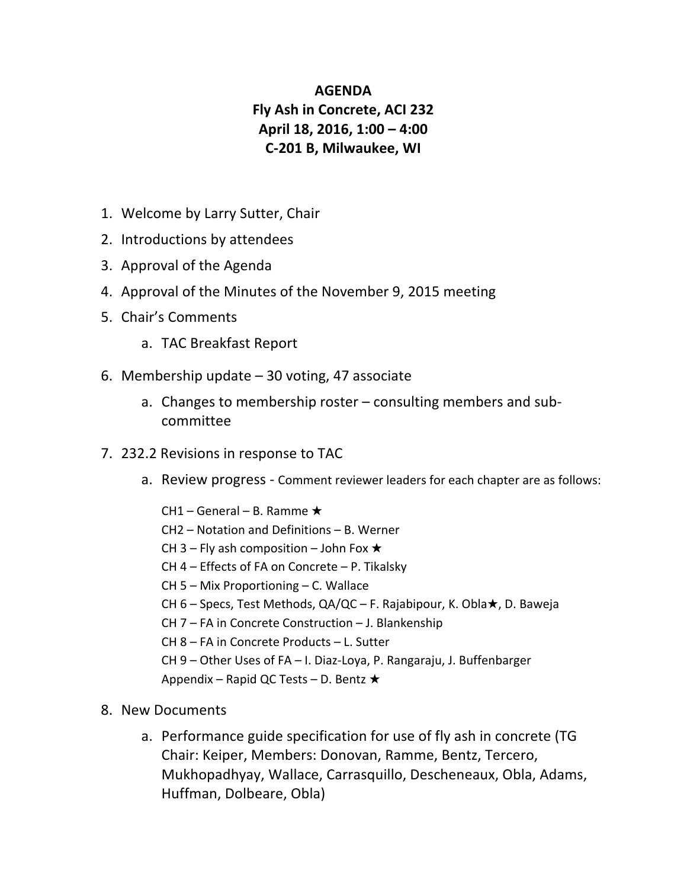## **AGENDA Fly Ash in Concrete, ACI 232 April 18, 2016, 1:00 – 4:00 C-201 B, Milwaukee, WI**

- 1. Welcome by Larry Sutter, Chair
- 2. Introductions by attendees
- 3. Approval of the Agenda
- 4. Approval of the Minutes of the November 9, 2015 meeting
- 5. Chair's Comments
	- a. TAC Breakfast Report
- 6. Membership update  $-30$  voting, 47 associate
	- a. Changes to membership roster  $-$  consulting members and subcommittee
- 7. 232.2 Revisions in response to TAC
	- a. Review progress Comment reviewer leaders for each chapter are as follows:

CH1 – General – B. Ramme  $\star$  $CH2$  – Notation and Definitions – B. Werner CH 3 – Fly ash composition – John Fox  $\star$ CH  $4$  – Effects of FA on Concrete – P. Tikalsky CH 5 - Mix Proportioning - C. Wallace CH 6 – Specs, Test Methods, QA/QC – F. Rajabipour, K. Obla $\star$ , D. Baweja CH  $7$  – FA in Concrete Construction – J. Blankenship CH 8 – FA in Concrete Products – L. Sutter CH 9 - Other Uses of FA - I. Diaz-Loya, P. Rangaraju, J. Buffenbarger Appendix – Rapid QC Tests – D. Bentz  $\star$ 

- 8. New Documents
	- a. Performance guide specification for use of fly ash in concrete (TG Chair: Keiper, Members: Donovan, Ramme, Bentz, Tercero, Mukhopadhyay, Wallace, Carrasquillo, Descheneaux, Obla, Adams, Huffman, Dolbeare, Obla)